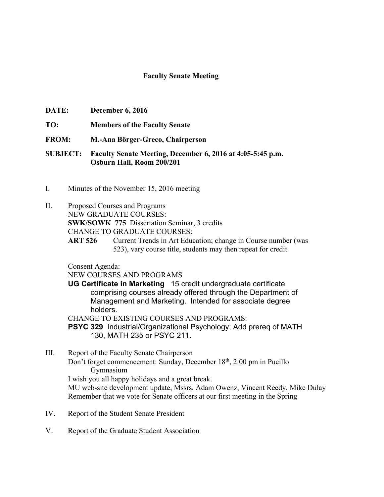## **Faculty Senate Meeting**

- **DATE: December 6, 2016**
- **TO: Members of the Faculty Senate**
- **FROM: M.-Ana Börger-Greco, Chairperson**
- **SUBJECT: Faculty Senate Meeting, December 6, 2016 at 4:05-5:45 p.m. Osburn Hall, Room 200/201**
- I. Minutes of the November 15, 2016 meeting
- II. Proposed Courses and Programs NEW GRADUATE COURSES:

**SWK/SOWK 775** Dissertation Seminar, 3 credits

CHANGE TO GRADUATE COURSES:

**ART 526** Current Trends in Art Education; change in Course number (was 523), vary course title, students may then repeat for credit

Consent Agenda:

NEW COURSES AND PROGRAMS

**UG Certificate in Marketing** 15 credit undergraduate certificate comprising courses already offered through the Department of Management and Marketing. Intended for associate degree holders.

CHANGE TO EXISTING COURSES AND PROGRAMS:

**PSYC 329** Industrial/Organizational Psychology; Add prereq of MATH 130, MATH 235 or PSYC 211.

- III. Report of the Faculty Senate Chairperson Don't forget commencement: Sunday, December 18<sup>th</sup>, 2:00 pm in Pucillo Gymnasium I wish you all happy holidays and a great break. MU web-site development update, Mssrs. Adam Owenz, Vincent Reedy, Mike Dulay Remember that we vote for Senate officers at our first meeting in the Spring
- IV. Report of the Student Senate President
- V. Report of the Graduate Student Association